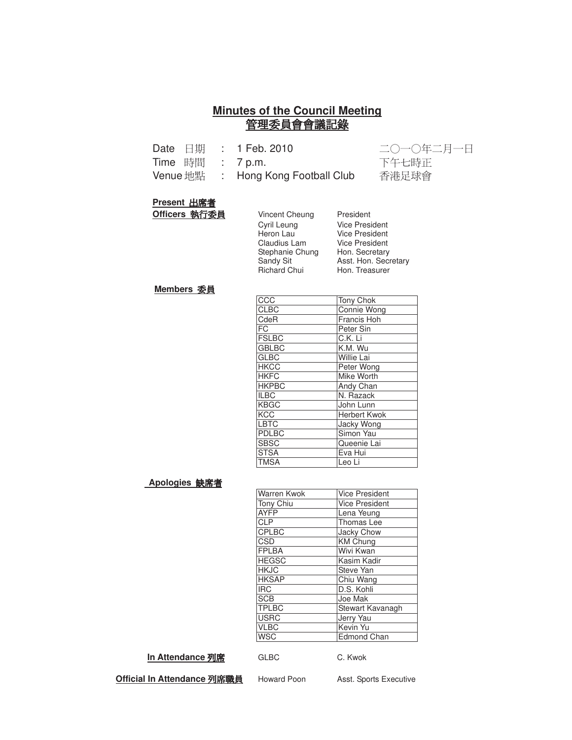#### **Minutes of the Council Meeting** 管理委員會會議記錄

|  | Date $\boxplus \emptyset$ : 1 Feb. 2010 | 二〇一〇年二月一日 |
|--|-----------------------------------------|-----------|
|  | Time 時間 : 7 p.m.                        | 下午七時正     |
|  | Venue 地點 : Hong Kong Football Club      | 香港足球會     |

#### **Present 出席者**

**Officers 執行委員** 

| Officers 執行委員 | Vincent Cheung      | President             |
|---------------|---------------------|-----------------------|
|               | Cyril Leung         | <b>Vice President</b> |
|               | Heron Lau           | <b>Vice President</b> |
|               | Claudius Lam        | Vice President        |
|               | Stephanie Chung     | Hon. Secretary        |
|               | Sandy Sit           | Asst. Hon. Secretary  |
|               | <b>Richard Chui</b> | Hon. Treasurer        |
|               |                     |                       |

#### **Members**

| CCC          | Tony Chok          |
|--------------|--------------------|
| <b>CLBC</b>  | <b>Connie Wong</b> |
| CdeR         | Francis Hoh        |
| FC           | Peter Sin          |
| <b>FSLBC</b> | C.K. Li            |
| <b>GBLBC</b> | K.M. Wu            |
| <b>GLBC</b>  | <b>Willie Lai</b>  |
| <b>HKCC</b>  | Peter Wong         |
| <b>HKFC</b>  | Mike Worth         |
| <b>HKPBC</b> | Andy Chan          |
| <b>ILBC</b>  | N. Razack          |
| <b>KBGC</b>  | John Lunn          |
| <b>KCC</b>   | Herbert Kwok       |
| LBTC         | Jacky Wong         |
| PDLBC        | Simon Yau          |
| <b>SBSC</b>  | Queenie Lai        |
| <b>STSA</b>  | Eva Hui            |
| <b>TMSA</b>  | Leo Li             |

#### **Apologies 缺席者**

| Warren Kwok  | <b>Vice President</b> |
|--------------|-----------------------|
| Tony Chiu    | <b>Vice President</b> |
| <b>AYFP</b>  | Lena Yeung            |
| <b>CLP</b>   | <b>Thomas Lee</b>     |
| <b>CPLBC</b> | Jacky Chow            |
| CSD          | <b>KM Chung</b>       |
| <b>FPLBA</b> | Wivi Kwan             |
| <b>HEGSC</b> | Kasim Kadir           |
| <b>HKJC</b>  | Steve Yan             |
| <b>HKSAP</b> | Chiu Wang             |
| <b>IRC</b>   | D.S. Kohli            |
| <b>SCB</b>   | Joe Mak               |
| <b>TPLBC</b> | Stewart Kavanagh      |
| <b>USRC</b>  | Jerry Yau             |
| <b>VLBC</b>  | Kevin Yu              |
| <b>WSC</b>   | <b>Edmond Chan</b>    |
|              |                       |

#### **In Attendance 列席**

GLBC C. Kwok

<u> Official In Attendance 列席職</u>

Howard Poon Asst. Sports Executive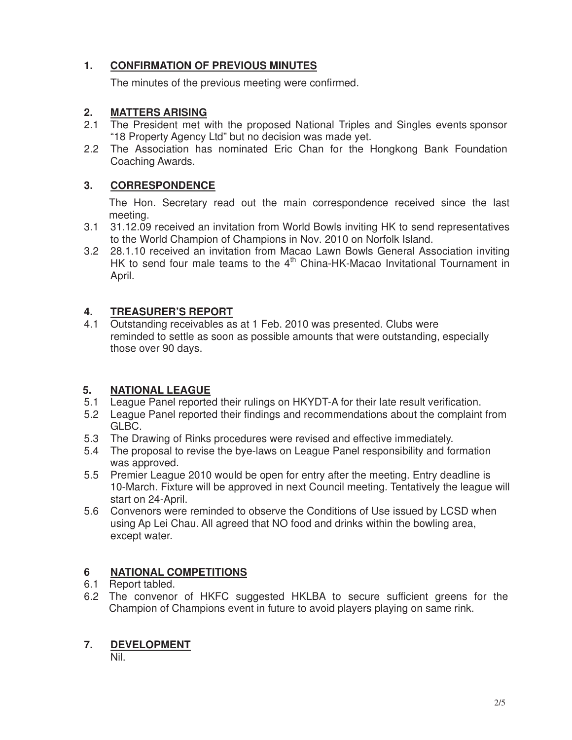# **1. CONFIRMATION OF PREVIOUS MINUTES**

The minutes of the previous meeting were confirmed.

#### **2. MATTERS ARISING**

- 2.1 The President met with the proposed National Triples and Singles events sponsor "18 Property Agency Ltd" but no decision was made yet.
- 2.2 The Association has nominated Eric Chan for the Hongkong Bank Foundation Coaching Awards.

#### **3. CORRESPONDENCE**

The Hon. Secretary read out the main correspondence received since the last meeting.

- 3.1 31.12.09 received an invitation from World Bowls inviting HK to send representatives to the World Champion of Champions in Nov. 2010 on Norfolk Island.
- 3.2 28.1.10 received an invitation from Macao Lawn Bowls General Association inviting HK to send four male teams to the  $4<sup>th</sup>$  China-HK-Macao Invitational Tournament in April.

#### **4. TREASURER'S REPORT**

4.1 Outstanding receivables as at 1 Feb. 2010 was presented. Clubs were reminded to settle as soon as possible amounts that were outstanding, especially those over 90 days.

#### **5. NATIONAL LEAGUE**

- 5.1 League Panel reported their rulings on HKYDT-A for their late result verification.
- 5.2 League Panel reported their findings and recommendations about the complaint from GLBC.
- 5.3 The Drawing of Rinks procedures were revised and effective immediately.
- 5.4 The proposal to revise the bye-laws on League Panel responsibility and formation was approved.
- 5.5 Premier League 2010 would be open for entry after the meeting. Entry deadline is 10-March. Fixture will be approved in next Council meeting. Tentatively the league will start on 24-April.
- 5.6 Convenors were reminded to observe the Conditions of Use issued by LCSD when using Ap Lei Chau. All agreed that NO food and drinks within the bowling area, except water.

#### **6 NATIONAL COMPETITIONS**

#### 6.1 Report tabled.

6.2 The convenor of HKFC suggested HKLBA to secure sufficient greens for the Champion of Champions event in future to avoid players playing on same rink.

# **7. DEVELOPMENT**

Nil.